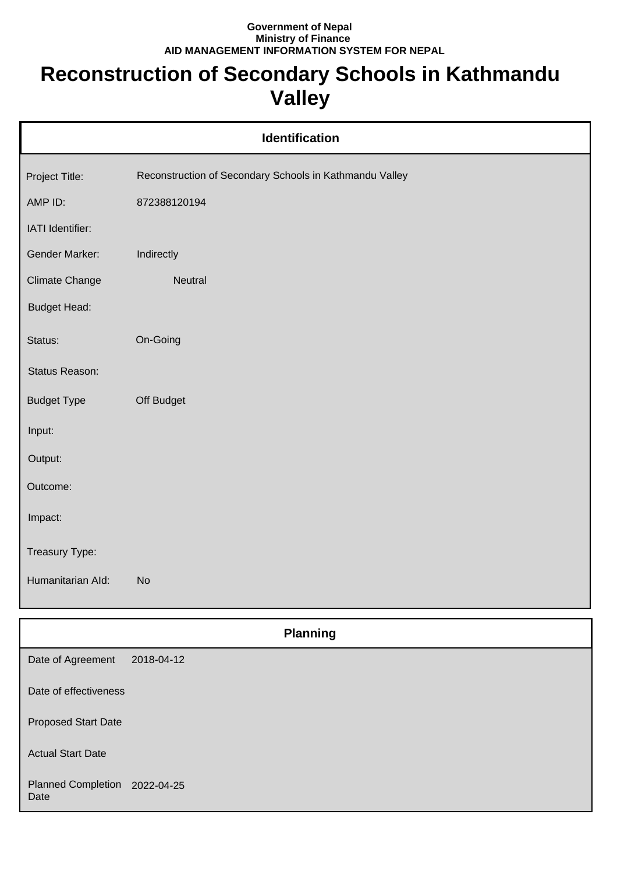## **Government of Nepal Ministry of Finance AID MANAGEMENT INFORMATION SYSTEM FOR NEPAL**

## **Reconstruction of Secondary Schools in Kathmandu Valley**

| Identification      |                                                         |  |  |
|---------------------|---------------------------------------------------------|--|--|
| Project Title:      | Reconstruction of Secondary Schools in Kathmandu Valley |  |  |
| AMP ID:             | 872388120194                                            |  |  |
| IATI Identifier:    |                                                         |  |  |
| Gender Marker:      | Indirectly                                              |  |  |
| Climate Change      | Neutral                                                 |  |  |
| <b>Budget Head:</b> |                                                         |  |  |
| Status:             | On-Going                                                |  |  |
| Status Reason:      |                                                         |  |  |
| <b>Budget Type</b>  | Off Budget                                              |  |  |
| Input:              |                                                         |  |  |
| Output:             |                                                         |  |  |
| Outcome:            |                                                         |  |  |
| Impact:             |                                                         |  |  |
| Treasury Type:      |                                                         |  |  |
| Humanitarian Ald:   | <b>No</b>                                               |  |  |
| <b>Planning</b>     |                                                         |  |  |
| Date of Agreement   | 2018-04-12                                              |  |  |

Proposed Start Date Actual Start Date Planned Completion 2022-04-25

Date of effectiveness

Date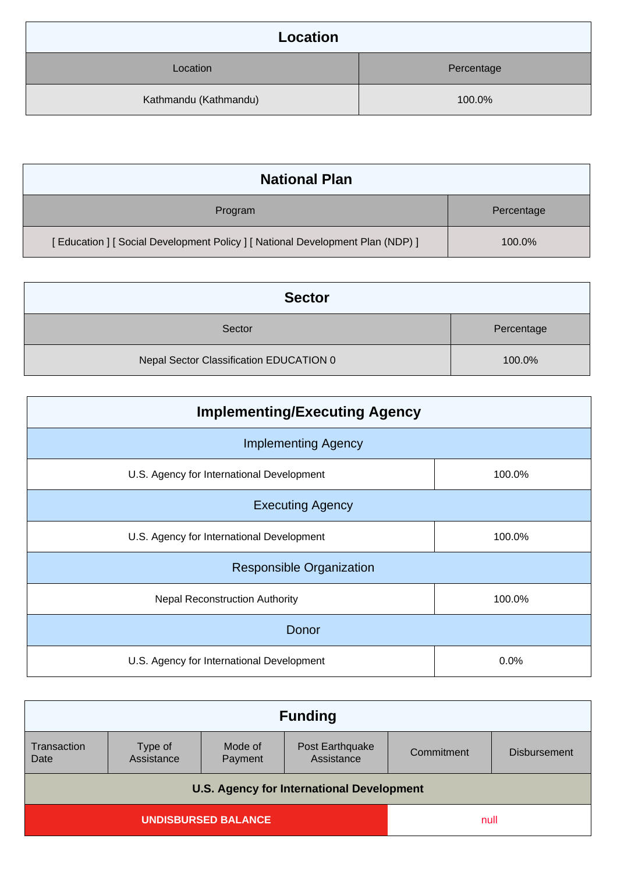| Location              |            |
|-----------------------|------------|
| Location              | Percentage |
| Kathmandu (Kathmandu) | 100.0%     |

| <b>National Plan</b>                                                            |            |
|---------------------------------------------------------------------------------|------------|
| Program                                                                         | Percentage |
| [ Education ] [ Social Development Policy ] [ National Development Plan (NDP) ] | 100.0%     |

| <b>Sector</b>                           |            |
|-----------------------------------------|------------|
| Sector                                  | Percentage |
| Nepal Sector Classification EDUCATION 0 | 100.0%     |

| <b>Implementing/Executing Agency</b>      |        |  |
|-------------------------------------------|--------|--|
| <b>Implementing Agency</b>                |        |  |
| U.S. Agency for International Development | 100.0% |  |
| <b>Executing Agency</b>                   |        |  |
| U.S. Agency for International Development | 100.0% |  |
| <b>Responsible Organization</b>           |        |  |
| <b>Nepal Reconstruction Authority</b>     | 100.0% |  |
| Donor                                     |        |  |
| U.S. Agency for International Development | 0.0%   |  |

| <b>Funding</b>                                   |                       |                    |                               |            |                     |
|--------------------------------------------------|-----------------------|--------------------|-------------------------------|------------|---------------------|
| Transaction<br>Date                              | Type of<br>Assistance | Mode of<br>Payment | Post Earthquake<br>Assistance | Commitment | <b>Disbursement</b> |
| <b>U.S. Agency for International Development</b> |                       |                    |                               |            |                     |
| <b>UNDISBURSED BALANCE</b>                       |                       |                    | null                          |            |                     |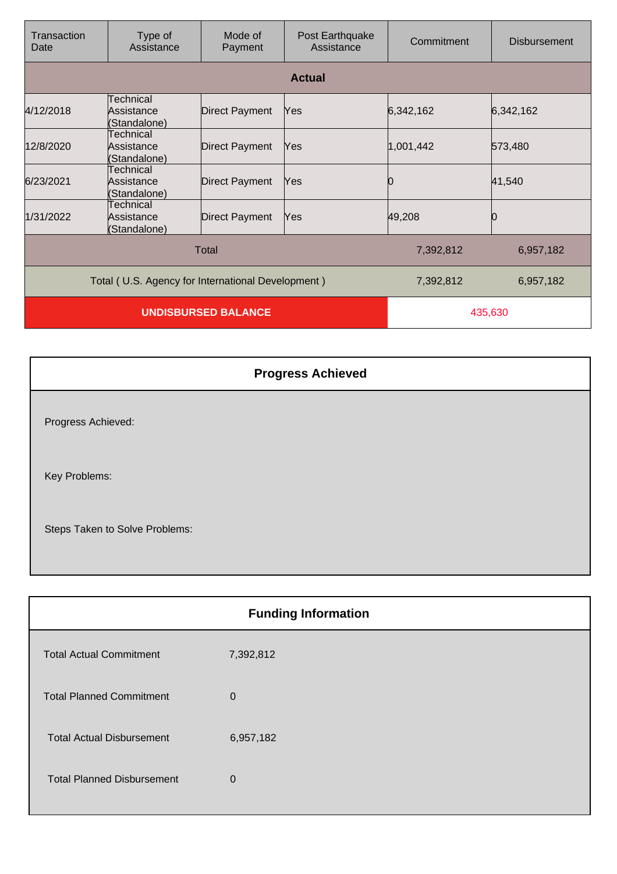| Transaction<br>Date                               | Type of<br>Assistance                   | Mode of<br>Payment    | Post Earthquake<br>Assistance | Commitment | <b>Disbursement</b> |
|---------------------------------------------------|-----------------------------------------|-----------------------|-------------------------------|------------|---------------------|
|                                                   |                                         |                       | <b>Actual</b>                 |            |                     |
| 4/12/2018                                         | Technical<br>Assistance<br>(Standalone) | <b>Direct Payment</b> | Yes                           | 6,342,162  | 6,342,162           |
| 12/8/2020                                         | Technical<br>Assistance<br>(Standalone) | <b>Direct Payment</b> | Yes                           | 1,001,442  | 573,480             |
| 6/23/2021                                         | Technical<br>Assistance<br>(Standalone) | <b>Direct Payment</b> | Yes                           | 0          | 41,540              |
| 1/31/2022                                         | Technical<br>Assistance<br>(Standalone) | <b>Direct Payment</b> | Yes                           | 49,208     |                     |
| Total                                             |                                         |                       | 7,392,812                     | 6,957,182  |                     |
| Total (U.S. Agency for International Development) |                                         |                       | 7,392,812                     | 6,957,182  |                     |
| <b>UNDISBURSED BALANCE</b>                        |                                         |                       | 435,630                       |            |                     |

| <b>Progress Achieved</b>       |
|--------------------------------|
| Progress Achieved:             |
| Key Problems:                  |
| Steps Taken to Solve Problems: |

| <b>Funding Information</b>        |           |  |
|-----------------------------------|-----------|--|
| <b>Total Actual Commitment</b>    | 7,392,812 |  |
| <b>Total Planned Commitment</b>   | 0         |  |
| <b>Total Actual Disbursement</b>  | 6,957,182 |  |
| <b>Total Planned Disbursement</b> | $\Omega$  |  |
|                                   |           |  |